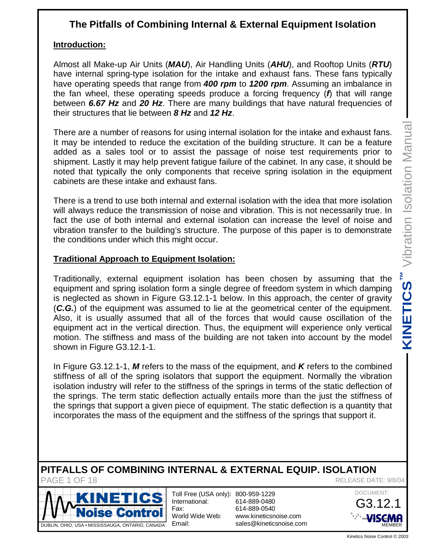# **The Pitfalls of Combining Internal & External Equipment Isolation**

## **Introduction:**

Almost all Make-up Air Units (*MAU*), Air Handling Units (*AHU*), and Rooftop Units (*RTU*) have internal spring-type isolation for the intake and exhaust fans. These fans typically have operating speeds that range from *400 rpm* to *1200 rpm*. Assuming an imbalance in the fan wheel, these operating speeds produce a forcing frequency (*f*) that will range between *6.67 Hz* and *20 Hz*. There are many buildings that have natural frequencies of their structures that lie between *8 Hz* and *12 Hz*.

There are a number of reasons for using internal isolation for the intake and exhaust fans. It may be intended to reduce the excitation of the building structure. It can be a feature added as a sales tool or to assist the passage of noise test requirements prior to shipment. Lastly it may help prevent fatigue failure of the cabinet. In any case, it should be noted that typically the only components that receive spring isolation in the equipment cabinets are these intake and exhaust fans.

There is a trend to use both internal and external isolation with the idea that more isolation will always reduce the transmission of noise and vibration. This is not necessarily true. In fact the use of both internal and external isolation can increase the level of noise and vibration transfer to the building's structure. The purpose of this paper is to demonstrate the conditions under which this might occur.

## **Traditional Approach to Equipment Isolation:**

Traditionally, external equipment isolation has been chosen by assuming that the equipment and spring isolation form a single degree of freedom system in which damping is neglected as shown in Figure G3.12.1-1 below. In this approach, the center of gravity (*C.G.*) of the equipment was assumed to lie at the geometrical center of the equipment. Also, it is usually assumed that all of the forces that would cause oscillation of the equipment act in the vertical direction. Thus, the equipment will experience only vertical motion. The stiffness and mass of the building are not taken into account by the model shown in Figure G3.12.1-1. Friendighter Control © 2003<br>
Kinetics Noise Control © 2003<br>
Kinetics Noise Control © 2003<br>
Kinetics Noise Control © 2003<br>
Kinetics Noise Control © 2003<br>
Kinetics Noise Control © 2003<br>
Kinetics Noise Control © 2003

In Figure G3.12.1-1, *M* refers to the mass of the equipment, and *K* refers to the combined stiffness of all of the spring isolators that support the equipment. Normally the vibration isolation industry will refer to the stiffness of the springs in terms of the static deflection of the springs. The term static deflection actually entails more than the just the stiffness of the springs that support a given piece of equipment. The static deflection is a quantity that incorporates the mass of the equipment and the stiffness of the springs that support it.

#### **PITFALLS OF COMBINING INTERNAL & EXTERNAL EQUIP. ISOLATION** PAGF 1 OF 18 RELEASE DATE: 9/8/04



Toll Free (USA only): 800-959-1229 International: Fax: World Wide Web: Email:



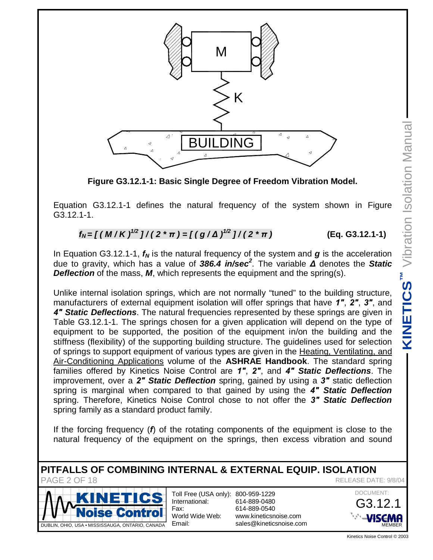

**Figure G3.12.1-1: Basic Single Degree of Freedom Vibration Model.**

Equation G3.12.1-1 defines the natural frequency of the system shown in Figure G3.12.1-1.

$$
f_N = \left[ \left( \frac{M}{K} \right)^{1/2} \right] / \left( 2 \cdot \pi \right) = \left[ \left( \frac{g}{\Delta} \right)^{1/2} \right] / \left( 2 \cdot \pi \right) \tag{Eq. G3.12.1-1}
$$

In Equation G3.12.1-1, *fN* is the natural frequency of the system and *g* is the acceleration due to gravity, which has a value of *386.4 in/sec<sup>2</sup>* . The variable *ǻ* denotes the *Static* **Deflection** of the mass, *M*, which represents the equipment and the spring(s).

Unlike internal isolation springs, which are not normally "tuned" to the building structure, manufacturers of external equipment isolation will offer springs that have 1", 2", 3", and *Ǝ Static Deflections*. The natural frequencies represented by these springs are given in Table G3.12.1-1. The springs chosen for a given application will depend on the type of equipment to be supported, the position of the equipment in/on the building and the stiffness (flexibility) of the supporting building structure. The guidelines used for selection of springs to support equipment of various types are given in the Heating, Ventilating, and Air-Conditioning Applications volume of the **ASHRAE Handbook**. The standard spring families offered by Kinetics Noise Control are *Ǝ*, *Ǝ*, and *Ǝ Static Deflections*. The improvement, over a *Ǝ Static Deflection* spring, gained by using a *Ǝ* static deflection spring is marginal when compared to that gained by using the *Ǝ Static Deflection* spring. Therefore, Kinetics Noise Control chose to not offer the *Ǝ Static Deflection* spring family as a standard product family. ng structure,<br>
2", 3", and<br>
are given in<br>
the type of<br>
ing and the<br>
for selection<br>
<u>tiliating, and</u><br>
dard spring<br>
ctions. The<br>
ic deflection<br>
Deflection<br>
Deflection<br>
Close to the<br>
and sound<br>
Close to the<br>
and sound<br>
MEASE

If the forcing frequency (*f*) of the rotating components of the equipment is close to the natural frequency of the equipment on the springs, then excess vibration and sound

**PITFALLS OF COMBINING INTERNAL & EXTERNAL EQUIP. ISOLATION** PAGE 2 OF 18 RELEASE DATE: 9/8/04



Toll Free (USA only): 800-959-1229 International: Fax: World Wide Web: Email:

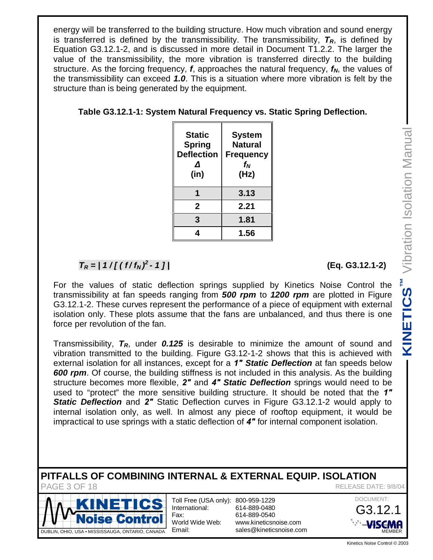energy will be transferred to the building structure. How much vibration and sound energy is transferred is defined by the transmissibility. The transmissibility, *TR*, is defined by Equation G3.12.1-2, and is discussed in more detail in Document T1.2.2. The larger the value of the transmissibility, the more vibration is transferred directly to the building structure. As the forcing frequency, *f*, approaches the natural frequency, *fN*, the values of the transmissibility can exceed *1.0*. This is a situation where more vibration is felt by the structure than is being generated by the equipment.

| <b>Static</b><br><b>Spring</b><br><b>Deflection</b><br>Λ<br>(in) | <b>System</b><br><b>Natural</b><br><b>Frequency</b><br>f <sub>Ν</sub><br>(Hz) |  |
|------------------------------------------------------------------|-------------------------------------------------------------------------------|--|
|                                                                  | 3.13                                                                          |  |
| $\mathbf{2}$                                                     | 2.21                                                                          |  |
| 3                                                                | 1.81                                                                          |  |
|                                                                  | 1.56                                                                          |  |

## **Table G3.12.1-1: System Natural Frequency vs. Static Spring Deflection.**

# $T_R = 11 / [(f/f_N)^2]$

For the values of static deflection springs supplied by Kinetics Noise Control the transmissibility at fan speeds ranging from *500 rpm* to *1200 rpm* are plotted in Figure G3.12.1-2. These curves represent the performance of a piece of equipment with external isolation only. These plots assume that the fans are unbalanced, and thus there is one force per revolution of the fan.

Transmissibility, *TR*, under *0.125* is desirable to minimize the amount of sound and vibration transmitted to the building. Figure G3.12-1-2 shows that this is achieved with external isolation for all instances, except for a *Ǝ Static Deflection* at fan speeds below *600 rpm*. Of course, the building stiffness is not included in this analysis. As the building structure becomes more flexible, 2" and 4" Static Deflection springs would need to be used to "protect" the more sensitive building structure. It should be noted that the 1" **Static Deflection** and 2" Static Deflection curves in Figure G3.12.1-2 would apply to internal isolation only, as well. In almost any piece of rooftop equipment, it would be impractical to use springs with a static deflection of 4" for internal component isolation. **Example 12 and School Control © 2003**<br>
With external<br>
there is one<br>
sound and<br>
sound and<br>
the building<br>
need to be<br>
that the 1"<br>
uld apply to<br>
it would be<br>
solation.<br>
EASE DATE: 9/8/04<br>
DOCUMENT:<br>
G3.12.1<br>
NEMBER<br>
Kinetic

# **PITFALLS OF COMBINING INTERNAL & EXTERNAL EQUIP. ISOLATION**



Toll Free (USA only): 800-959-1229 International: Fax: World Wide Web: Email:

614-889-0480 614-889-0540 [www.kineticsnoise.com](http://www.kineticsnoise.com) [sales@kineticsnoise.com](mailto:sales@kineticsnoise.com) *- 1 ] |* **(Eq. G3.12.1-2)**

PAGE 3 OF 18 RELEASE DATE: 9/8/04

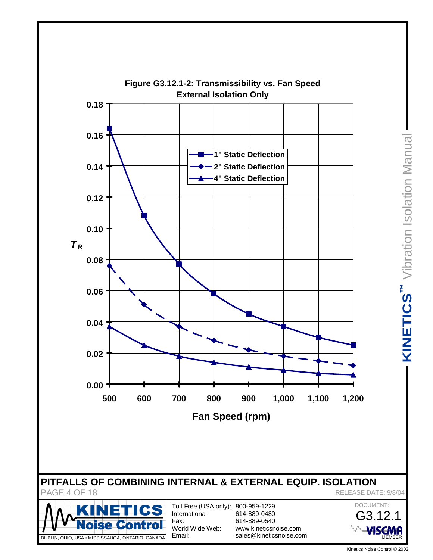

DUBLIN, OHIO, USA • MISSISSAUGA, ONTARIO, CANADA

MEMBER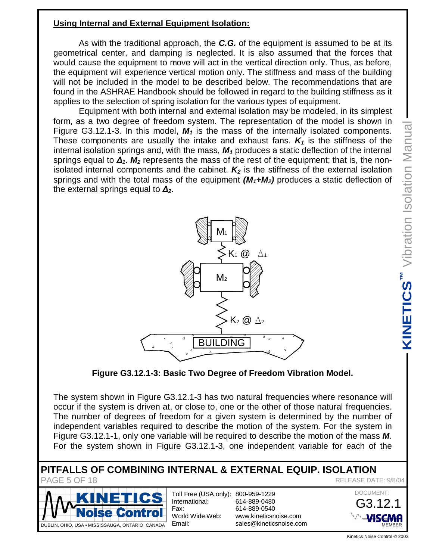# **Using Internal and External Equipment Isolation:**

 As with the traditional approach, the *C.G.* of the equipment is assumed to be at its geometrical center, and damping is neglected. It is also assumed that the forces that would cause the equipment to move will act in the vertical direction only. Thus, as before, the equipment will experience vertical motion only. The stiffness and mass of the building will not be included in the model to be described below. The recommendations that are found in the ASHRAE Handbook should be followed in regard to the building stiffness as it applies to the selection of spring isolation for the various types of equipment.

 Equipment with both internal and external isolation may be modeled, in its simplest form, as a two degree of freedom system. The representation of the model is shown in Figure G3.12.1-3. In this model, *M1* is the mass of the internally isolated components. These components are usually the intake and exhaust fans.  $K_1$  is the stiffness of the internal isolation springs and, with the mass, *M1* produces a static deflection of the internal springs equal to  $\Delta_1$ .  $M_2$  represents the mass of the rest of the equipment; that is, the nonisolated internal components and the cabinet.  $K_2$  is the stiffness of the external isolation springs and with the total mass of the equipment *(M1+M2)* produces a static deflection of the external springs equal to  $\Delta_2$ .



**Figure G3.12.1-3: Basic Two Degree of Freedom Vibration Model.**

The system shown in Figure G3.12.1-3 has two natural frequencies where resonance will occur if the system is driven at, or close to, one or the other of those natural frequencies. The number of degrees of freedom for a given system is determined by the number of independent variables required to describe the motion of the system. For the system in Figure G3.12.1-1, only one variable will be required to describe the motion of the mass *M*. For the system shown in Figure G3.12.1-3, one independent variable for each of the EXECUTE: 9/8/04<br>
Kinetics Noise Control © 2003<br>
Kinetics Noise Control © 2003<br>
Kinetics Noise Control © 2003<br>
Kinetics Noise Control © 2003<br>
Kinetics Noise Control © 2003

**PITFALLS OF COMBINING INTERNAL & EXTERNAL EQUIP. ISOLATION** PAGE 5 OF 18 RELEASE DATE: 9/8/04



Toll Free (USA only): 800-959-1229 International: Fax: World Wide Web: Email:

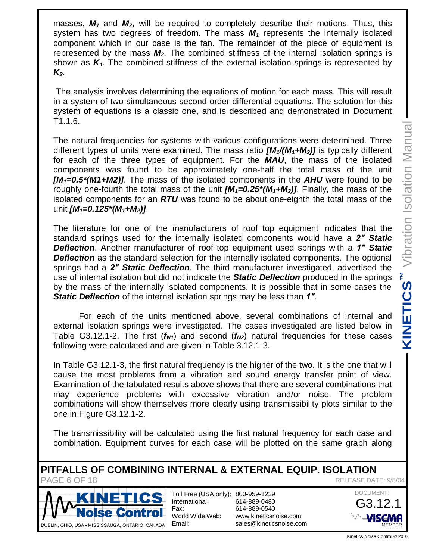masses, *M1* and *M2*, will be required to completely describe their motions. Thus, this system has two degrees of freedom. The mass *M1* represents the internally isolated component which in our case is the fan. The remainder of the piece of equipment is represented by the mass *M2*. The combined stiffness of the internal isolation springs is shown as *K1*. The combined stiffness of the external isolation springs is represented by *K2*.

 The analysis involves determining the equations of motion for each mass. This will result in a system of two simultaneous second order differential equations. The solution for this system of equations is a classic one, and is described and demonstrated in Document T1.1.6.

The natural frequencies for systems with various configurations were determined. Three different types of units were examined. The mass ratio *[M1/(M1+M2)]* is typically different for each of the three types of equipment. For the *MAU*, the mass of the isolated components was found to be approximately one-half the total mass of the unit *[M1=0.5\*(M1+M2)]*. The mass of the isolated components in the *AHU* were found to be roughly one-fourth the total mass of the unit *[M1=0.25\*(M1+M2)]*. Finally, the mass of the isolated components for an *RTU* was found to be about one-eighth the total mass of the unit *[M1=0.125\*(M1+M2)]*.

The literature for one of the manufacturers of roof top equipment indicates that the standard springs used for the internally isolated components would have a *Ǝ Static Deflection*. Another manufacturer of roof top equipment used springs with a *Ǝ Static Deflection* as the standard selection for the internally isolated components. The optional springs had a *Ǝ Static Deflection*. The third manufacturer investigated, advertised the use of internal isolation but did not indicate the *Static Deflection* produced in the springs by the mass of the internally isolated components. It is possible that in some cases the *Static Deflection* of the internal isolation springs may be less than *Ǝ*.

 For each of the units mentioned above, several combinations of internal and external isolation springs were investigated. The cases investigated are listed below in Table G3.12.1-2. The first  $(f_{N1})$  and second  $(f_{N2})$  natural frequencies for these cases following were calculated and are given in Table 3.12.1-3.

In Table G3.12.1-3, the first natural frequency is the higher of the two. It is the one that will cause the most problems from a vibration and sound energy transfer point of view. Examination of the tabulated results above shows that there are several combinations that may experience problems with excessive vibration and/or noise. The problem combinations will show themselves more clearly using transmissibility plots similar to the one in Figure G3.12.1-2. Experiment and the divisions these cases<br>
one that will int of view.<br>
inations that<br>
initians that<br>
initian to the<br>
ch case and<br>
graph along<br> **ATION**<br>
EASE DATE: 9/8/04<br>
DOCUMENT:<br> **G3.12.1**<br>
NEMBER<br>
Kinetics Noise Control

The transmissibility will be calculated using the first natural frequency for each case and combination. Equipment curves for each case will be plotted on the same graph along

**PITFALLS OF COMBINING INTERNAL & EXTERNAL EQUIP. ISOLATION** PAGE 6 OF 18 RELEASE DATE: 9/8/04



Toll Free (USA only): 800-959-1229 International: Fax: World Wide Web: Email:

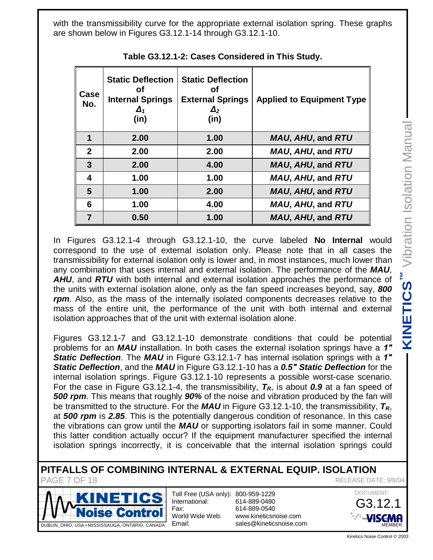**KINETICS**<sup>™</sup> Vibration Isolation Manual Vibration Isolation Manual

with the transmissibility curve for the appropriate external isolation spring. These graphs are shown below in Figures G3.12.1-14 through G3.12.1-10.

| Case<br>No.  | <b>Static Deflection</b><br>Οf<br><b>Internal Springs</b><br>$\Delta_1$<br>(in) | <b>Static Deflection</b><br>Οf<br><b>External Springs</b><br>$\Delta_2$<br>(in) | <b>Applied to Equipment Type</b> |
|--------------|---------------------------------------------------------------------------------|---------------------------------------------------------------------------------|----------------------------------|
| 1            | 2.00                                                                            | 1.00                                                                            | MAU, AHU, and RTU                |
| $\mathbf{2}$ | 2.00                                                                            | 2.00                                                                            | MAU, AHU, and RTU                |
| 3            | 2.00                                                                            | 4.00                                                                            | MAU, AHU, and RTU                |
| 4            | 1.00                                                                            | 1.00                                                                            | MAU, AHU, and RTU                |
| 5            | 1.00                                                                            | 2.00                                                                            | MAU, AHU, and RTU                |
| 6            | 1.00                                                                            | 4.00                                                                            | MAU, AHU, and RTU                |
| 7            | 0.50                                                                            | 1.00                                                                            | MAU, AHU, and RTU                |

**Table G3.12.1-2: Cases Considered in This Study.**

In Figures G3.12.1-4 through G3.12.1-10, the curve labeled **No Internal** would correspond to the use of external isolation only. Please note that in all cases the transmissibility for external isolation only is lower and, in most instances, much lower than any combination that uses internal and external isolation. The performance of the *MAU*, AHU, and RTU with both internal and external isolation approaches the performance of the units with external isolation alone, only as the fan speed increases beyond, say, *800 rpm*. Also, as the mass of the internally isolated components decreases relative to the mass of the entire unit, the performance of the unit with both internal and external isolation approaches that of the unit with external isolation alone.

Figures G3.12.1-7 and G3.12.1-10 demonstrate conditions that could be potential problems for an *MAU* installation. In both cases the external isolation springs have a 1" *Static Deflection*. The *MAU* in Figure G3.12.1-7 has internal isolation springs with a *Ǝ Static Deflection*, and the *MAU* in Figure G3.12.1-10 has a *0.5Ǝ Static Deflection* for the internal isolation springs. Figure G3.12.1-10 represents a possible worst-case scenario. For the case in Figure G3.12.1-4, the transmissibility, *TR*, is about *0.9* at a fan speed of *500 rpm*. This means that roughly *90%* of the noise and vibration produced by the fan will be transmitted to the structure. For the *MAU* in Figure G3.12.1-10, the transmissibility, *TR*, at *500 rpm* is *2.85*. This is the potentially dangerous condition of resonance. In this case the vibrations can grow until the *MAU* or supporting isolators fail in some manner. Could this latter condition actually occur? If the equipment manufacturer specified the internal isolation springs incorrectly, it is conceivable that the internal isolation springs could Ma, say, 800<br>
Iative to the<br>
Ind, say, 800<br>
Ind external<br>
Shave a 1"<br>
Shave a 1"<br>
Shave a 1"<br>
Shave a 1"<br>
Shave a 1"<br>
Crion for the<br>
se scenario.<br>
In this case<br>
Internal<br>
In this case<br>
Internal<br>
In this case<br>
Inner Could<br>

#### **PITFALLS OF COMBINING INTERNAL & EXTERNAL EQUIP. ISOLATION** PAGE 7 OF 18 RELEASE DATE: 9/8/04



Toll Free (USA only): 800-959-1229 International: Fax: World Wide Web: Email:

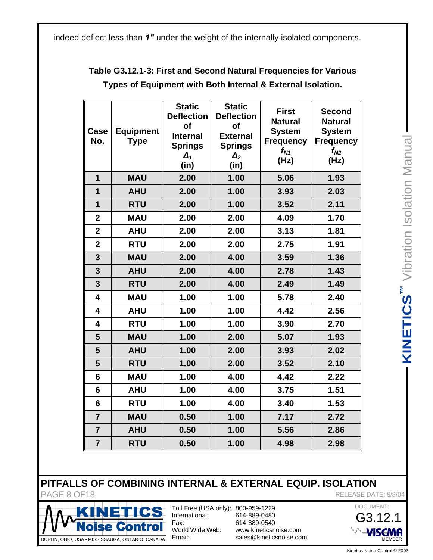indeed deflect less than  $1"$  under the weight of the internally isolated components.

| Case<br>No.                                                                                                                                                                                          | <b>Equipment</b><br><b>Type</b>                                                                                  | <b>Static</b><br><b>Deflection</b><br>of<br><b>Internal</b><br><b>Springs</b><br>$\Delta_1$<br>(in) | <b>Static</b><br><b>Deflection</b><br>of<br><b>External</b><br><b>Springs</b><br>$\Delta_2$<br>(in) | <b>First</b><br><b>Natural</b><br><b>System</b><br><b>Frequency</b><br>$f_{N1}$<br>(Hz) | <b>Second</b><br><b>Natural</b><br><b>System</b><br><b>Frequency</b><br>$f_{N2}$<br>(Hz) | Vibration Isolation Manual |  |
|------------------------------------------------------------------------------------------------------------------------------------------------------------------------------------------------------|------------------------------------------------------------------------------------------------------------------|-----------------------------------------------------------------------------------------------------|-----------------------------------------------------------------------------------------------------|-----------------------------------------------------------------------------------------|------------------------------------------------------------------------------------------|----------------------------|--|
| $\mathbf{1}$                                                                                                                                                                                         | <b>MAU</b>                                                                                                       | 2.00                                                                                                | 1.00                                                                                                | 5.06                                                                                    | 1.93                                                                                     |                            |  |
| $\mathbf{1}$                                                                                                                                                                                         | <b>AHU</b>                                                                                                       | 2.00                                                                                                | 1.00                                                                                                | 3.93                                                                                    | 2.03                                                                                     |                            |  |
| 1                                                                                                                                                                                                    | <b>RTU</b>                                                                                                       | 2.00                                                                                                | 1.00                                                                                                | 3.52                                                                                    | 2.11                                                                                     |                            |  |
| $\mathbf{2}$                                                                                                                                                                                         | <b>MAU</b>                                                                                                       | 2.00                                                                                                | 2.00                                                                                                | 4.09                                                                                    | 1.70                                                                                     |                            |  |
| $\overline{2}$                                                                                                                                                                                       | <b>AHU</b>                                                                                                       | 2.00                                                                                                | 2.00                                                                                                | 3.13                                                                                    | 1.81                                                                                     |                            |  |
| $\overline{2}$                                                                                                                                                                                       | <b>RTU</b>                                                                                                       | 2.00                                                                                                | 2.00                                                                                                | 2.75                                                                                    | 1.91                                                                                     |                            |  |
| 3                                                                                                                                                                                                    | <b>MAU</b>                                                                                                       | 2.00                                                                                                | 4.00                                                                                                | 3.59                                                                                    | 1.36                                                                                     |                            |  |
| $\overline{\mathbf{3}}$                                                                                                                                                                              | <b>AHU</b>                                                                                                       | 2.00                                                                                                | 4.00                                                                                                | 2.78                                                                                    | 1.43                                                                                     |                            |  |
| $\overline{3}$                                                                                                                                                                                       | <b>RTU</b>                                                                                                       | 2.00                                                                                                | 4.00                                                                                                | 2.49                                                                                    | 1.49                                                                                     |                            |  |
| 4                                                                                                                                                                                                    | <b>MAU</b>                                                                                                       | 1.00                                                                                                | 1.00                                                                                                | 5.78                                                                                    | 2.40                                                                                     |                            |  |
| 4                                                                                                                                                                                                    | <b>AHU</b>                                                                                                       | 1.00                                                                                                | 1.00                                                                                                | 4.42                                                                                    | 2.56                                                                                     | <b>KINETICS™</b>           |  |
| 4                                                                                                                                                                                                    | <b>RTU</b>                                                                                                       | 1.00                                                                                                | 1.00                                                                                                | 3.90                                                                                    | 2.70                                                                                     |                            |  |
| 5                                                                                                                                                                                                    | <b>MAU</b>                                                                                                       | 1.00                                                                                                | 2.00                                                                                                | 5.07                                                                                    | 1.93                                                                                     |                            |  |
| 5                                                                                                                                                                                                    | <b>AHU</b>                                                                                                       | 1.00                                                                                                | 2.00                                                                                                | 3.93                                                                                    | 2.02                                                                                     |                            |  |
| 5                                                                                                                                                                                                    | <b>RTU</b>                                                                                                       | 1.00                                                                                                | 2.00                                                                                                | 3.52                                                                                    | 2.10                                                                                     |                            |  |
| $6\phantom{1}$                                                                                                                                                                                       | <b>MAU</b>                                                                                                       | 1.00                                                                                                | 4.00                                                                                                | 4.42                                                                                    | 2.22                                                                                     |                            |  |
| $6\phantom{1}$                                                                                                                                                                                       | <b>AHU</b>                                                                                                       | 1.00                                                                                                | 4.00                                                                                                | 3.75                                                                                    | 1.51                                                                                     |                            |  |
| $6\phantom{1}6$                                                                                                                                                                                      | <b>RTU</b>                                                                                                       | 1.00                                                                                                | 4.00                                                                                                | 3.40                                                                                    | 1.53                                                                                     |                            |  |
| $\overline{7}$                                                                                                                                                                                       | <b>MAU</b>                                                                                                       | 0.50                                                                                                | 1.00                                                                                                | 7.17                                                                                    | 2.72                                                                                     |                            |  |
| $\overline{7}$                                                                                                                                                                                       | <b>AHU</b>                                                                                                       | 0.50                                                                                                | 1.00                                                                                                | 5.56                                                                                    | 2.86                                                                                     |                            |  |
| $\overline{7}$                                                                                                                                                                                       | <b>RTU</b>                                                                                                       | 0.50                                                                                                | 1.00                                                                                                | 4.98                                                                                    | 2.98                                                                                     |                            |  |
| <b>S OF COMBINING INTERNAL &amp; EXTERNAL EQUIP. ISOLATION</b><br>F18<br>RELEASE DATE: 9/8/04<br>DOCUMENT:<br>Toll Free (USA only): 800-959-1229<br>ICS<br>International:<br>614-889-0480<br>G3.12.1 |                                                                                                                  |                                                                                                     |                                                                                                     |                                                                                         |                                                                                          |                            |  |
| Fax:<br>614-889-0540<br><b>loise Control</b><br>World Wide Web:<br>www.kineticsnoise.com                                                                                                             |                                                                                                                  |                                                                                                     |                                                                                                     | VISEMA                                                                                  |                                                                                          |                            |  |
|                                                                                                                                                                                                      | Email:<br>sales@kineticsnoise.com<br>A . MISSISSAUGA, ONTARIO, CANADA<br>MEMBER<br>Kinetics Noise Control © 2003 |                                                                                                     |                                                                                                     |                                                                                         |                                                                                          |                            |  |

# **Table G3.12.1-3: First and Second Natural Frequencies for Various Types of Equipment with Both Internal & External Isolation.**

# **PITFALLS OF COMBINING INTERNAL & EXTERNAL EQUIP. ISOLATION**



PAGE 8 OF18 RELEASE DATE: 9/8/04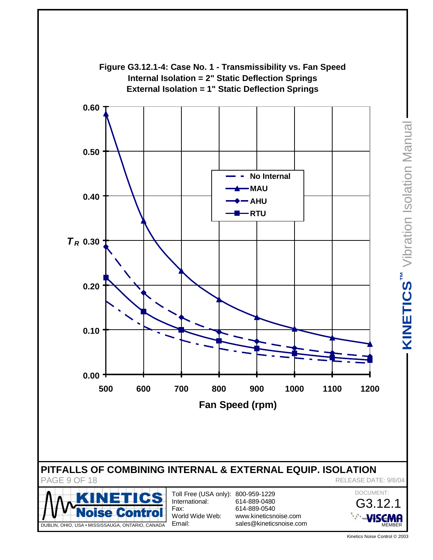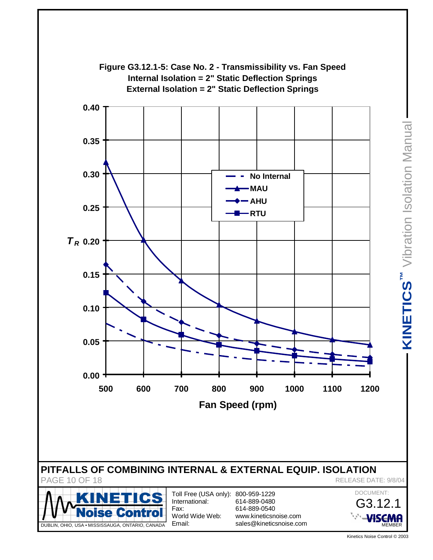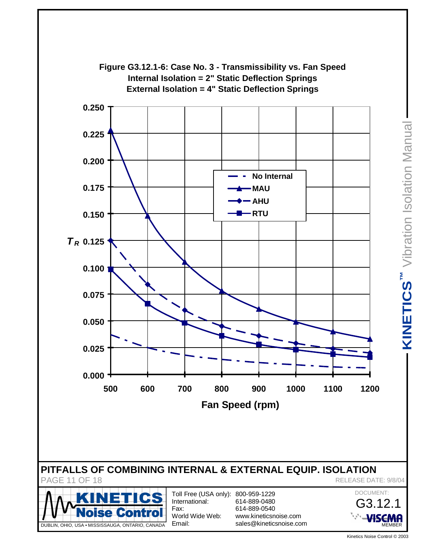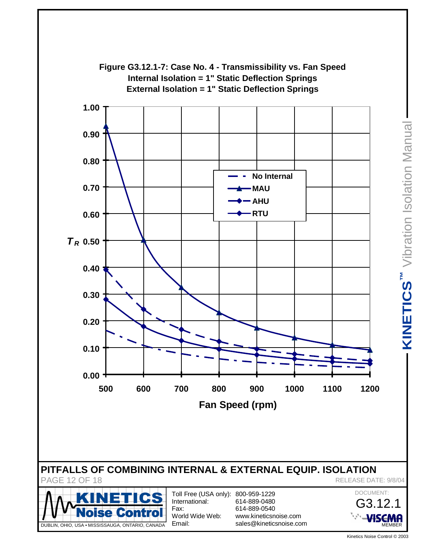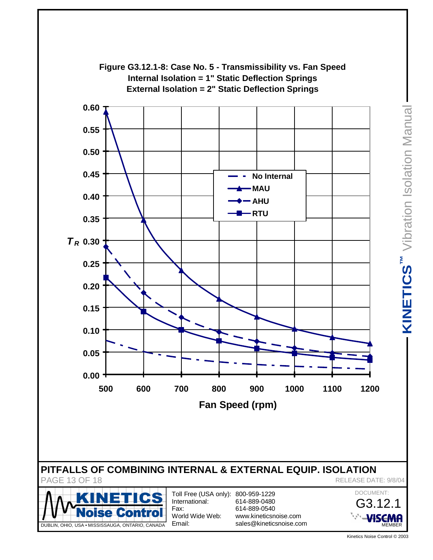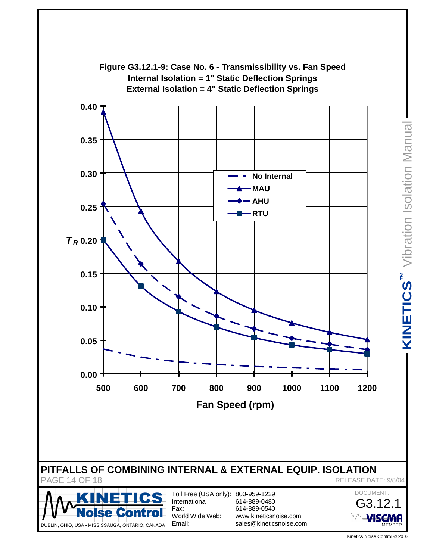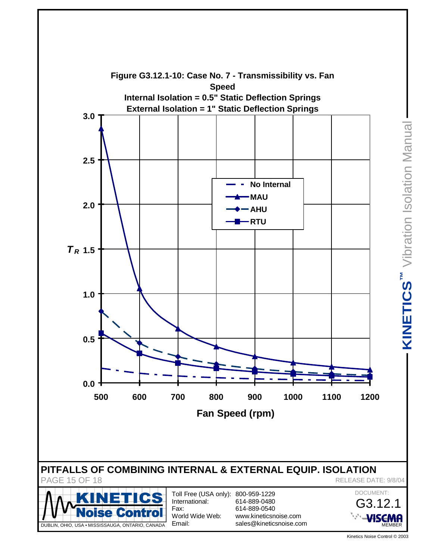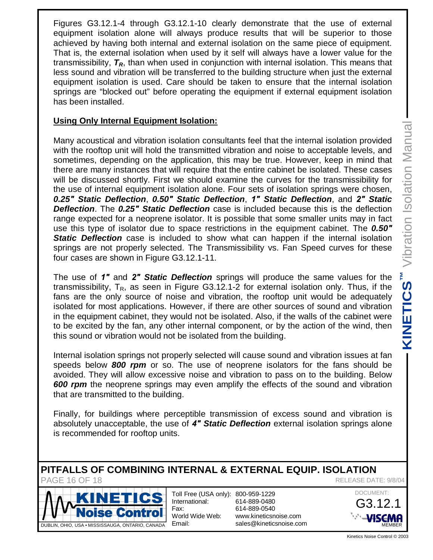Figures G3.12.1-4 through G3.12.1-10 clearly demonstrate that the use of external equipment isolation alone will always produce results that will be superior to those achieved by having both internal and external isolation on the same piece of equipment. That is, the external isolation when used by it self will always have a lower value for the transmissibility, *TR*, than when used in conjunction with internal isolation. This means that less sound and vibration will be transferred to the building structure when just the external equipment isolation is used. Care should be taken to ensure that the internal isolation springs are "blocked out" before operating the equipment if external equipment isolation has been installed.

### **Using Only Internal Equipment Isolation:**

Many acoustical and vibration isolation consultants feel that the internal isolation provided with the rooftop unit will hold the transmitted vibration and noise to acceptable levels, and sometimes, depending on the application, this may be true. However, keep in mind that there are many instances that will require that the entire cabinet be isolated. These cases will be discussed shortly. First we should examine the curves for the transmissibility for the use of internal equipment isolation alone. Four sets of isolation springs were chosen, *0.25Ǝ Static Deflection*, *0.50Ǝ Static Deflection*, *Ǝ Static Deflection*, and *Ǝ Static Deflection.* The 0.25<sup>*<sup><i>n</sup>*</sup> Static Deflection case is included because this is the deflection</sup> range expected for a neoprene isolator. It is possible that some smaller units may in fact use this type of isolator due to space restrictions in the equipment cabinet. The **0.50<sup>***<sup>n</sup>*</sup> **Static Deflection** case is included to show what can happen if the internal isolation springs are not properly selected. The Transmissibility vs. Fan Speed curves for these four cases are shown in Figure G3.12.1-11.

The use of *Ǝ* and *Ǝ Static Deflection* springs will produce the same values for the transmissibility,  $T_R$ , as seen in Figure G3.12.1-2 for external isolation only. Thus, if the fans are the only source of noise and vibration, the rooftop unit would be adequately isolated for most applications. However, if there are other sources of sound and vibration in the equipment cabinet, they would not be isolated. Also, if the walls of the cabinet were to be excited by the fan, any other internal component, or by the action of the wind, then this sound or vibration would not be isolated from the building. Thus, if the<br>adequately<br>ind vibration<br>abinet were<br>a wind, then<br>ssues at fan<br>s should be<br>ding. Below<br>nd vibration<br>is brings alone<br>vibration is<br>prings alone<br>**ATION**<br>EASE DATE: 9/8/04<br>DOCUMENT:<br>**G3.12.1**<br>NEMBER<br>Kinetics Noise

Internal isolation springs not properly selected will cause sound and vibration issues at fan speeds below *800 rpm* or so. The use of neoprene isolators for the fans should be avoided. They will allow excessive noise and vibration to pass on to the building. Below *600 rpm* the neoprene springs may even amplify the effects of the sound and vibration that are transmitted to the building.

Finally, for buildings where perceptible transmission of excess sound and vibration is absolutely unacceptable, the use of *Ǝ Static Deflection* external isolation springs alone is recommended for rooftop units.

#### **PITFALLS OF COMBINING INTERNAL & EXTERNAL EQUIP. ISOLATION** PAGE 16 OF 18 **PAGE 16 OF 18**



Toll Free (USA only): 800-959-1229 International: Fax: World Wide Web: Email:

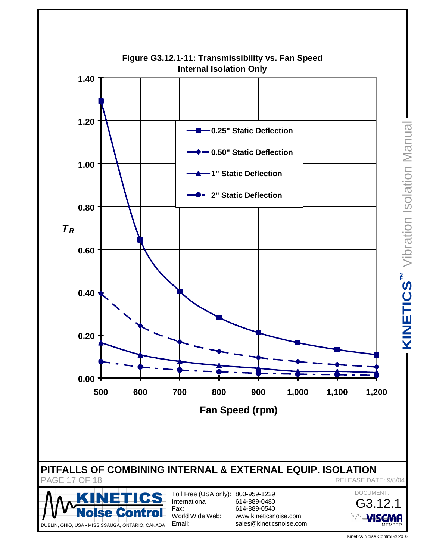